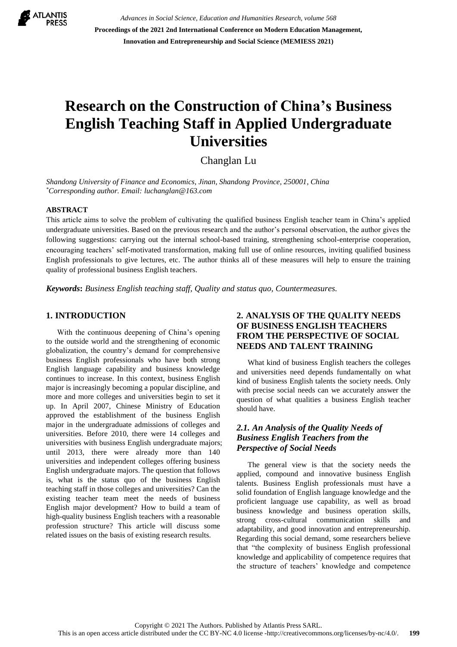

*Advances in Social Science, Education and Humanities Research, volume 568* **Proceedings of the 2021 2nd International Conference on Modern Education Management, Innovation and Entrepreneurship and Social Science (MEMIESS 2021)**

# **Research on the Construction of China's Business English Teaching Staff in Applied Undergraduate Universities**

Changlan Lu

*Shandong University of Finance and Economics, Jinan, Shandong Province, 250001, China \*Corresponding author. Email: luchanglan@163.com*

#### **ABSTRACT**

This article aims to solve the problem of cultivating the qualified business English teacher team in China's applied undergraduate universities. Based on the previous research and the author's personal observation, the author gives the following suggestions: carrying out the internal school-based training, strengthening school-enterprise cooperation, encouraging teachers' self-motivated transformation, making full use of online resources, inviting qualified business English professionals to give lectures, etc. The author thinks all of these measures will help to ensure the training quality of professional business English teachers.

*Keywords***:** *Business English teaching staff, Quality and status quo, Countermeasures.*

#### **1. INTRODUCTION**

With the continuous deepening of China's opening to the outside world and the strengthening of economic globalization, the country's demand for comprehensive business English professionals who have both strong English language capability and business knowledge continues to increase. In this context, business English major is increasingly becoming a popular discipline, and more and more colleges and universities begin to set it up. In April 2007, Chinese Ministry of Education approved the establishment of the business English major in the undergraduate admissions of colleges and universities. Before 2010, there were 14 colleges and universities with business English undergraduate majors; until 2013, there were already more than 140 universities and independent colleges offering business English undergraduate majors. The question that follows is, what is the status quo of the business English teaching staff in those colleges and universities? Can the existing teacher team meet the needs of business English major development? How to build a team of high-quality business English teachers with a reasonable profession structure? This article will discuss some related issues on the basis of existing research results.

## **2. ANALYSIS OF THE QUALITY NEEDS OF BUSINESS ENGLISH TEACHERS FROM THE PERSPECTIVE OF SOCIAL NEEDS AND TALENT TRAINING**

What kind of business English teachers the colleges and universities need depends fundamentally on what kind of business English talents the society needs. Only with precise social needs can we accurately answer the question of what qualities a business English teacher should have.

### *2.1. An Analysis of the Quality Needs of Business English Teachers from the Perspective of Social Needs*

The general view is that the society needs the applied, compound and innovative business English talents. Business English professionals must have a solid foundation of English language knowledge and the proficient language use capability, as well as broad business knowledge and business operation skills, strong cross-cultural communication skills and adaptability, and good innovation and entrepreneurship. Regarding this social demand, some researchers believe that "the complexity of business English professional knowledge and applicability of competence requires that the structure of teachers' knowledge and competence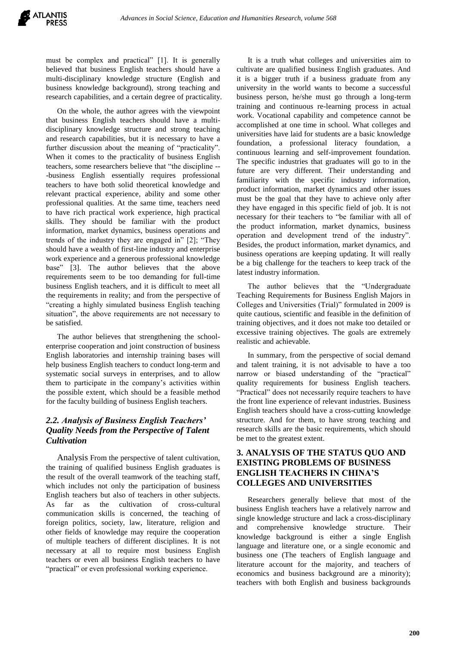must be complex and practical" [1]. It is generally believed that business English teachers should have a multi-disciplinary knowledge structure (English and business knowledge background), strong teaching and research capabilities, and a certain degree of practicality.

On the whole, the author agrees with the viewpoint that business English teachers should have a multidisciplinary knowledge structure and strong teaching and research capabilities, but it is necessary to have a further discussion about the meaning of "practicality". When it comes to the practicality of business English teachers, some researchers believe that "the discipline -- -business English essentially requires professional teachers to have both solid theoretical knowledge and relevant practical experience, ability and some other professional qualities. At the same time, teachers need to have rich practical work experience, high practical skills. They should be familiar with the product information, market dynamics, business operations and trends of the industry they are engaged in" [2]; "They should have a wealth of first-line industry and enterprise work experience and a generous professional knowledge base" [3]. The author believes that the above requirements seem to be too demanding for full-time business English teachers, and it is difficult to meet all the requirements in reality; and from the perspective of "creating a highly simulated business English teaching situation", the above requirements are not necessary to be satisfied.

The author believes that strengthening the schoolenterprise cooperation and joint construction of business English laboratories and internship training bases will help business English teachers to conduct long-term and systematic social surveys in enterprises, and to allow them to participate in the company's activities within the possible extent, which should be a feasible method for the faculty building of business English teachers.

## *2.2. Analysis of Business English Teachers' Quality Needs from the Perspective of Talent Cultivation*

Analysis From the perspective of talent cultivation, the training of qualified business English graduates is the result of the overall teamwork of the teaching staff, which includes not only the participation of business English teachers but also of teachers in other subjects. As far as the cultivation of cross-cultural communication skills is concerned, the teaching of foreign politics, society, law, literature, religion and other fields of knowledge may require the cooperation of multiple teachers of different disciplines. It is not necessary at all to require most business English teachers or even all business English teachers to have "practical" or even professional working experience.

It is a truth what colleges and universities aim to cultivate are qualified business English graduates. And it is a bigger truth if a business graduate from any university in the world wants to become a successful business person, he/she must go through a long-term training and continuous re-learning process in actual work. Vocational capability and competence cannot be accomplished at one time in school. What colleges and universities have laid for students are a basic knowledge foundation, a professional literacy foundation, a continuous learning and self-improvement foundation. The specific industries that graduates will go to in the future are very different. Their understanding and familiarity with the specific industry information, product information, market dynamics and other issues must be the goal that they have to achieve only after they have engaged in this specific field of job. It is not necessary for their teachers to "be familiar with all of the product information, market dynamics, business operation and development trend of the industry". Besides, the product information, market dynamics, and business operations are keeping updating. It will really be a big challenge for the teachers to keep track of the latest industry information.

The author believes that the "Undergraduate Teaching Requirements for Business English Majors in Colleges and Universities (Trial)" formulated in 2009 is quite cautious, scientific and feasible in the definition of training objectives, and it does not make too detailed or excessive training objectives. The goals are extremely realistic and achievable.

In summary, from the perspective of social demand and talent training, it is not advisable to have a too narrow or biased understanding of the "practical" quality requirements for business English teachers. "Practical" does not necessarily require teachers to have the front line experience of relevant industries. Business English teachers should have a cross-cutting knowledge structure. And for them, to have strong teaching and research skills are the basic requirements, which should be met to the greatest extent.

## **3. ANALYSIS OF THE STATUS QUO AND EXISTING PROBLEMS OF BUSINESS ENGLISH TEACHERS IN CHINA'S COLLEGES AND UNIVERSITIES**

Researchers generally believe that most of the business English teachers have a relatively narrow and single knowledge structure and lack a cross-disciplinary and comprehensive knowledge structure. Their knowledge background is either a single English language and literature one, or a single economic and business one (The teachers of English language and literature account for the majority, and teachers of economics and business background are a minority); teachers with both English and business backgrounds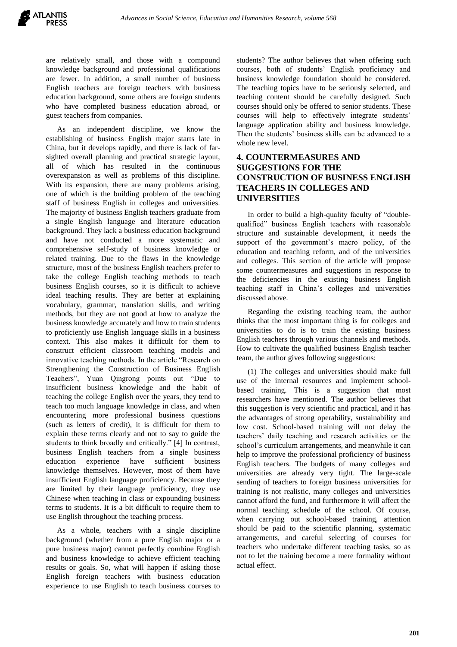are relatively small, and those with a compound knowledge background and professional qualifications are fewer. In addition, a small number of business English teachers are foreign teachers with business education background, some others are foreign students who have completed business education abroad, or guest teachers from companies.

As an independent discipline, we know the establishing of business English major starts late in China, but it develops rapidly, and there is lack of farsighted overall planning and practical strategic layout, all of which has resulted in the continuous overexpansion as well as problems of this discipline. With its expansion, there are many problems arising, one of which is the building problem of the teaching staff of business English in colleges and universities. The majority of business English teachers graduate from a single English language and literature education background. They lack a business education background and have not conducted a more systematic and comprehensive self-study of business knowledge or related training. Due to the flaws in the knowledge structure, most of the business English teachers prefer to take the college English teaching methods to teach business English courses, so it is difficult to achieve ideal teaching results. They are better at explaining vocabulary, grammar, translation skills, and writing methods, but they are not good at how to analyze the business knowledge accurately and how to train students to proficiently use English language skills in a business context. This also makes it difficult for them to construct efficient classroom teaching models and innovative teaching methods. In the article "Research on Strengthening the Construction of Business English Teachers", Yuan Qingrong points out "Due to insufficient business knowledge and the habit of teaching the college English over the years, they tend to teach too much language knowledge in class, and when encountering more professional business questions (such as letters of credit), it is difficult for them to explain these terms clearly and not to say to guide the students to think broadly and critically." [4] In contrast, business English teachers from a single business education experience have sufficient business knowledge themselves. However, most of them have insufficient English language proficiency. Because they are limited by their language proficiency, they use Chinese when teaching in class or expounding business terms to students. It is a bit difficult to require them to use English throughout the teaching process.

As a whole, teachers with a single discipline background (whether from a pure English major or a pure business major) cannot perfectly combine English and business knowledge to achieve efficient teaching results or goals. So, what will happen if asking those English foreign teachers with business education experience to use English to teach business courses to students? The author believes that when offering such courses, both of students' English proficiency and business knowledge foundation should be considered. The teaching topics have to be seriously selected, and teaching content should be carefully designed. Such courses should only be offered to senior students. These courses will help to effectively integrate students' language application ability and business knowledge. Then the students' business skills can be advanced to a whole new level.

## **4. COUNTERMEASURES AND SUGGESTIONS FOR THE CONSTRUCTION OF BUSINESS ENGLISH TEACHERS IN COLLEGES AND UNIVERSITIES**

In order to build a high-quality faculty of "doublequalified" business English teachers with reasonable structure and sustainable development, it needs the support of the government's macro policy, of the education and teaching reform, and of the universities and colleges. This section of the article will propose some countermeasures and suggestions in response to the deficiencies in the existing business English teaching staff in China's colleges and universities discussed above.

Regarding the existing teaching team, the author thinks that the most important thing is for colleges and universities to do is to train the existing business English teachers through various channels and methods. How to cultivate the qualified business English teacher team, the author gives following suggestions:

(1) The colleges and universities should make full use of the internal resources and implement schoolbased training. This is a suggestion that most researchers have mentioned. The author believes that this suggestion is very scientific and practical, and it has the advantages of strong operability, sustainability and low cost. School-based training will not delay the teachers' daily teaching and research activities or the school's curriculum arrangements, and meanwhile it can help to improve the professional proficiency of business English teachers. The budgets of many colleges and universities are already very tight. The large-scale sending of teachers to foreign business universities for training is not realistic, many colleges and universities cannot afford the fund, and furthermore it will affect the normal teaching schedule of the school. Of course, when carrying out school-based training, attention should be paid to the scientific planning, systematic arrangements, and careful selecting of courses for teachers who undertake different teaching tasks, so as not to let the training become a mere formality without actual effect.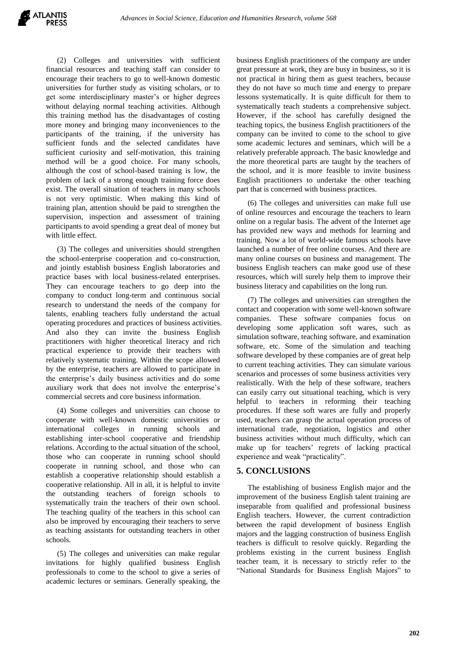(2) Colleges and universities with sufficient financial resources and teaching staff can consider to encourage their teachers to go to well-known domestic universities for further study as visiting scholars, or to get some interdisciplinary master's or higher degrees without delaying normal teaching activities. Although this training method has the disadvantages of costing more money and bringing many inconveniences to the participants of the training, if the university has sufficient funds and the selected candidates have sufficient curiosity and self-motivation, this training method will be a good choice. For many schools, although the cost of school-based training is low, the problem of lack of a strong enough training force does exist. The overall situation of teachers in many schools is not very optimistic. When making this kind of training plan, attention should be paid to strengthen the supervision, inspection and assessment of training participants to avoid spending a great deal of money but with little effect.

(3) The colleges and universities should strengthen the school-enterprise cooperation and co-construction, and jointly establish business English laboratories and practice bases with local business-related enterprises. They can encourage teachers to go deep into the company to conduct long-term and continuous social research to understand the needs of the company for talents, enabling teachers fully understand the actual operating procedures and practices of business activities. And also they can invite the business English practitioners with higher theoretical literacy and rich practical experience to provide their teachers with relatively systematic training. Within the scope allowed by the enterprise, teachers are allowed to participate in the enterprise's daily business activities and do some auxiliary work that does not involve the enterprise's commercial secrets and core business information.

(4) Some colleges and universities can choose to cooperate with well-known domestic universities or international colleges in running schools and establishing inter-school cooperative and friendship relations. According to the actual situation of the school, those who can cooperate in running school should cooperate in running school, and those who can establish a cooperative relationship should establish a cooperative relationship. All in all, it is helpful to invite the outstanding teachers of foreign schools to systematically train the teachers of their own school. The teaching quality of the teachers in this school can also be improved by encouraging their teachers to serve as teaching assistants for outstanding teachers in other schools.

(5) The colleges and universities can make regular invitations for highly qualified business English professionals to come to the school to give a series of academic lectures or seminars. Generally speaking, the

business English practitioners of the company are under great pressure at work, they are busy in business, so it is not practical in hiring them as guest teachers, because they do not have so much time and energy to prepare lessons systematically. It is quite difficult for them to systematically teach students a comprehensive subject. However, if the school has carefully designed the teaching topics, the business English practitioners of the company can be invited to come to the school to give some academic lectures and seminars, which will be a relatively preferable approach. The basic knowledge and the more theoretical parts are taught by the teachers of the school, and it is more feasible to invite business English practitioners to undertake the other teaching part that is concerned with business practices.

(6) The colleges and universities can make full use of online resources and encourage the teachers to learn online on a regular basis. The advent of the Internet age has provided new ways and methods for learning and training. Now a lot of world-wide famous schools have launched a number of free online courses. And there are many online courses on business and management. The business English teachers can make good use of these resources, which will surely help them to improve their business literacy and capabilities on the long run.

(7) The colleges and universities can strengthen the contact and cooperation with some well-known software companies. These software companies focus on developing some application soft wares, such as simulation software, teaching software, and examination software, etc. Some of the simulation and teaching software developed by these companies are of great help to current teaching activities. They can simulate various scenarios and processes of some business activities very realistically. With the help of these software, teachers can easily carry out situational teaching, which is very helpful to teachers in reforming their teaching procedures. If these soft wares are fully and properly used, teachers can grasp the actual operation process of international trade, negotiation, logistics and other business activities without much difficulty, which can make up for teachers' regrets of lacking practical experience and weak "practicality".

#### **5. CONCLUSIONS**

The establishing of business English major and the improvement of the business English talent training are inseparable from qualified and professional business English teachers. However, the current contradiction between the rapid development of business English majors and the lagging construction of business English teachers is difficult to resolve quickly. Regarding the problems existing in the current business English teacher team, it is necessary to strictly refer to the "National Standards for Business English Majors" to